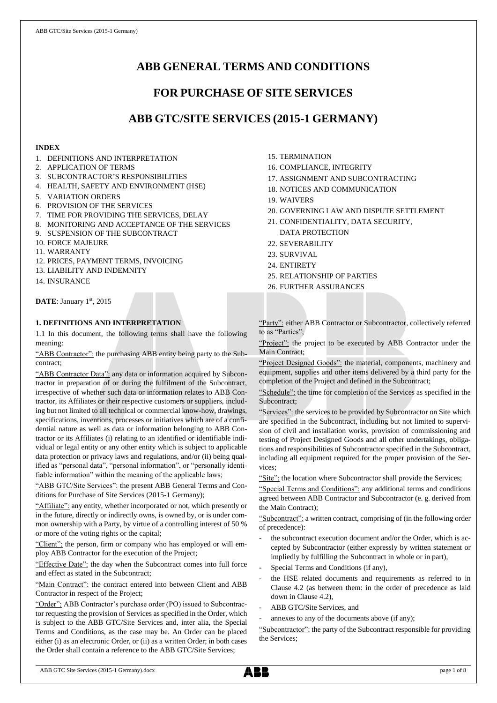# **ABB GENERAL TERMS AND CONDITIONS**

# **FOR PURCHASE OF SITE SERVICES**

# **ABB GTC/SITE SERVICES (2015-1 GERMANY)**

## **INDEX**

- 1. DEFINITIONS AND INTERPRETATION
- 2. APPLICATION OF TERMS
- 3. SUBCONTRACTOR'S RESPONSIBILITIES
- 4. HEALTH, SAFETY AND ENVIRONMENT (HSE)
- 5. VARIATION ORDERS
- 6. PROVISION OF THE SERVICES
- 7. TIME FOR PROVIDING THE SERVICES, DELAY
- 8. MONITORING AND ACCEPTANCE OF THE SERVICES
- 9. SUSPENSION OF THE SUBCONTRACT
- 10. FORCE MAJEURE
- 11. WARRANTY
- 12. PRICES, PAYMENT TERMS, INVOICING
- 13. LIABILITY AND INDEMNITY
- 14. INSURANCE

DATE: January 1st, 2015

## **1. DEFINITIONS AND INTERPRETATION**

1.1 In this document, the following terms shall have the following meaning:

"ABB Contractor": the purchasing ABB entity being party to the Subcontract;

"ABB Contractor Data": any data or information acquired by Subcontractor in preparation of or during the fulfilment of the Subcontract, irrespective of whether such data or information relates to ABB Contractor, its Affiliates or their respective customers or suppliers, including but not limited to all technical or commercial know-how, drawings, specifications, inventions, processes or initiatives which are of a confidential nature as well as data or information belonging to ABB Contractor or its Affiliates (i) relating to an identified or identifiable individual or legal entity or any other entity which is subject to applicable data protection or privacy laws and regulations, and/or (ii) being qualified as "personal data", "personal information", or "personally identifiable information" within the meaning of the applicable laws;

"ABB GTC/Site Services": the present ABB General Terms and Conditions for Purchase of Site Services (2015-1 Germany);

"Affiliate": any entity, whether incorporated or not, which presently or in the future, directly or indirectly owns, is owned by, or is under common ownership with a Party, by virtue of a controlling interest of 50 % or more of the voting rights or the capital;

"Client": the person, firm or company who has employed or will employ ABB Contractor for the execution of the Project;

"Effective Date": the day when the Subcontract comes into full force and effect as stated in the Subcontract;

"Main Contract": the contract entered into between Client and ABB Contractor in respect of the Project;

"Order": ABB Contractor's purchase order (PO) issued to Subcontractor requesting the provision of Services as specified in the Order, which is subject to the ABB GTC/Site Services and, inter alia, the Special Terms and Conditions, as the case may be. An Order can be placed either (i) as an electronic Order, or (ii) as a written Order; in both cases the Order shall contain a reference to the ABB GTC/Site Services;

15. TERMINATION

- 16. COMPLIANCE, INTEGRITY
- 17. ASSIGNMENT AND SUBCONTRACTING
- 18. NOTICES AND COMMUNICATION
- 19. WAIVERS
- 20. GOVERNING LAW AND DISPUTE SETTLEMENT
- 21. CONFIDENTIALITY, DATA SECURITY, DATA PROTECTION
- 22. SEVERABILITY
- 23. SURVIVAL
- 24. ENTIRETY
- 25. RELATIONSHIP OF PARTIES
- 26. FURTHER ASSURANCES

"Party": either ABB Contractor or Subcontractor, collectively referred to as "Parties";

"Project": the project to be executed by ABB Contractor under the Main Contract;

"Project Designed Goods": the material, components, machinery and equipment, supplies and other items delivered by a third party for the completion of the Project and defined in the Subcontract;

"Schedule": the time for completion of the Services as specified in the Subcontract;

"Services": the services to be provided by Subcontractor on Site which are specified in the Subcontract, including but not limited to supervision of civil and installation works, provision of commissioning and testing of Project Designed Goods and all other undertakings, obligations and responsibilities of Subcontractor specified in the Subcontract, including all equipment required for the proper provision of the Services;

"Site": the location where Subcontractor shall provide the Services;

"Special Terms and Conditions": any additional terms and conditions agreed between ABB Contractor and Subcontractor (e. g. derived from the Main Contract);

"Subcontract": a written contract, comprising of (in the following order of precedence):

- the subcontract execution document and/or the Order, which is accepted by Subcontractor (either expressly by written statement or impliedly by fulfilling the Subcontract in whole or in part),
- Special Terms and Conditions (if any),
- the HSE related documents and requirements as referred to in Clause 4.2 (as between them: in the order of precedence as laid down in Clause 4.2),
- ABB GTC/Site Services, and
- annexes to any of the documents above (if any);

"Subcontractor": the party of the Subcontract responsible for providing the Services;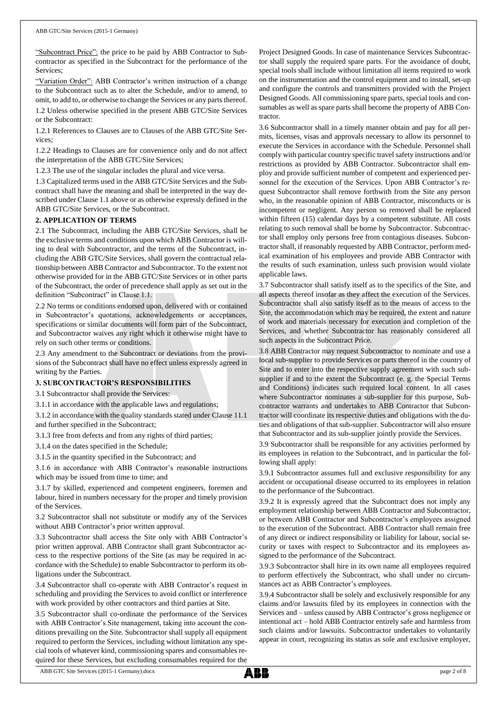"Subcontract Price": the price to be paid by ABB Contractor to Subcontractor as specified in the Subcontract for the performance of the Services;

"Variation Order": ABB Contractor's written instruction of a change to the Subcontract such as to alter the Schedule, and/or to amend, to omit, to add to, or otherwise to change the Services or any parts thereof.

1.2 Unless otherwise specified in the present ABB GTC/Site Services or the Subcontract:

1.2.1 References to Clauses are to Clauses of the ABB GTC/Site Services;

1.2.2 Headings to Clauses are for convenience only and do not affect the interpretation of the ABB GTC/Site Services;

1.2.3 The use of the singular includes the plural and vice versa.

1.3 Capitalized terms used in the ABB GTC/Site Services and the Subcontract shall have the meaning and shall be interpreted in the way described under Clause 1.1 above or as otherwise expressly defined in the ABB GTC/Site Services, or the Subcontract.

#### **2. APPLICATION OF TERMS**

2.1 The Subcontract, including the ABB GTC/Site Services, shall be the exclusive terms and conditions upon which ABB Contractor is willing to deal with Subcontractor, and the terms of the Subcontract, including the ABB GTC/Site Services, shall govern the contractual relationship between ABB Contractor and Subcontractor. To the extent not otherwise provided for in the ABB GTC/Site Services or in other parts of the Subcontract, the order of precedence shall apply as set out in the definition "Subcontract" in Clause 1.1.

2.2 No terms or conditions endorsed upon, delivered with or contained in Subcontractor's quotations, acknowledgements or acceptances, specifications or similar documents will form part of the Subcontract, and Subcontractor waives any right which it otherwise might have to rely on such other terms or conditions.

2.3 Any amendment to the Subcontract or deviations from the provisions of the Subcontract shall have no effect unless expressly agreed in writing by the Parties.

#### **3. SUBCONTRACTOR'S RESPONSIBILITIES**

3.1 Subcontractor shall provide the Services:

3.1.1 in accordance with the applicable laws and regulations;

3.1.2 in accordance with the quality standards stated under Clause 11.1 and further specified in the Subcontract;

3.1.3 free from defects and from any rights of third parties;

3.1.4 on the dates specified in the Schedule;

3.1.5 in the quantity specified in the Subcontract; and

3.1.6 in accordance with ABB Contractor's reasonable instructions which may be issued from time to time; and

3.1.7 by skilled, experienced and competent engineers, foremen and labour, hired in numbers necessary for the proper and timely provision of the Services.

3.2 Subcontractor shall not substitute or modify any of the Services without ABB Contractor's prior written approval.

3.3 Subcontractor shall access the Site only with ABB Contractor's prior written approval. ABB Contractor shall grant Subcontractor access to the respective portions of the Site (as may be required in accordance with the Schedule) to enable Subcontractor to perform its obligations under the Subcontract.

3.4 Subcontractor shall co-operate with ABB Contractor's request in scheduling and providing the Services to avoid conflict or interference with work provided by other contractors and third parties at Site.

3.5 Subcontractor shall co-ordinate the performance of the Services with ABB Contractor's Site management, taking into account the conditions prevailing on the Site. Subcontractor shall supply all equipment required to perform the Services, including without limitation any special tools of whatever kind, commissioning spares and consumables required for these Services, but excluding consumables required for the Project Designed Goods. In case of maintenance Services Subcontractor shall supply the required spare parts. For the avoidance of doubt, special tools shall include without limitation all items required to work on the instrumentation and the control equipment and to install, set-up and configure the controls and transmitters provided with the Project Designed Goods. All commissioning spare parts, special tools and consumables as well as spare parts shall become the property of ABB Contractor.

3.6 Subcontractor shall in a timely manner obtain and pay for all permits, licenses, visas and approvals necessary to allow its personnel to execute the Services in accordance with the Schedule. Personnel shall comply with particular country specific travel safety instructions and/or restrictions as provided by ABB Contractor. Subcontractor shall employ and provide sufficient number of competent and experienced personnel for the execution of the Services. Upon ABB Contractor's request Subcontractor shall remove forthwith from the Site any person who, in the reasonable opinion of ABB Contractor, misconducts or is incompetent or negligent. Any person so removed shall be replaced within fifteen (15) calendar days by a competent substitute. All costs relating to such removal shall be borne by Subcontractor. Subcontractor shall employ only persons free from contagious diseases. Subcontractor shall, if reasonably requested by ABB Contractor, perform medical examination of his employees and provide ABB Contractor with the results of such examination, unless such provision would violate applicable laws.

3.7 Subcontractor shall satisfy itself as to the specifics of the Site, and all aspects thereof insofar as they affect the execution of the Services. Subcontractor shall also satisfy itself as to the means of access to the Site, the accommodation which may be required, the extent and nature of work and materials necessary for execution and completion of the Services, and whether Subcontractor has reasonably considered all such aspects in the Subcontract Price.

3.8 ABB Contractor may request Subcontractor to nominate and use a local sub-supplier to provide Services or parts thereof in the country of Site and to enter into the respective supply agreement with such subsupplier if and to the extent the Subcontract (e. g. the Special Terms and Conditions) indicates such required local content. In all cases where Subcontractor nominates a sub-supplier for this purpose, Subcontractor warrants and undertakes to ABB Contractor that Subcontractor will coordinate its respective duties and obligations with the duties and obligations of that sub-supplier. Subcontractor will also ensure that Subcontractor and its sub-supplier jointly provide the Services.

3.9 Subcontractor shall be responsible for any activities performed by its employees in relation to the Subcontract, and in particular the following shall apply:

3.9.1 Subcontractor assumes full and exclusive responsibility for any accident or occupational disease occurred to its employees in relation to the performance of the Subcontract.

3.9.2 It is expressly agreed that the Subcontract does not imply any employment relationship between ABB Contractor and Subcontractor, or between ABB Contractor and Subcontractor's employees assigned to the execution of the Subcontract. ABB Contractor shall remain free of any direct or indirect responsibility or liability for labour, social security or taxes with respect to Subcontractor and its employees assigned to the performance of the Subcontract.

3.9.3 Subcontractor shall hire in its own name all employees required to perform effectively the Subcontract, who shall under no circumstances act as ABB Contractor's employees.

3.9.4 Subcontractor shall be solely and exclusively responsible for any claims and/or lawsuits filed by its employees in connection with the Services and – unless caused by ABB Contractor's gross negligence or intentional act – hold ABB Contractor entirely safe and harmless from such claims and/or lawsuits. Subcontractor undertakes to voluntarily appear in court, recognizing its status as sole and exclusive employer,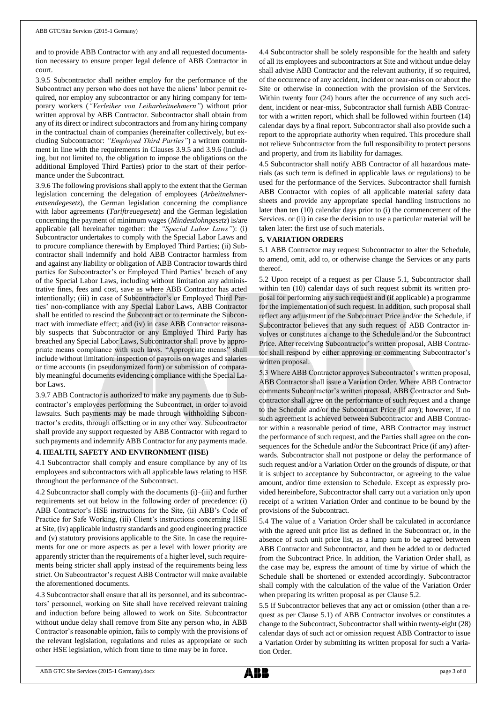and to provide ABB Contractor with any and all requested documentation necessary to ensure proper legal defence of ABB Contractor in court.

3.9.5 Subcontractor shall neither employ for the performance of the Subcontract any person who does not have the aliens' labor permit required, nor employ any subcontractor or any hiring company for temporary workers (*"Verleiher von Leiharbeitnehmern"*) without prior written approval by ABB Contractor. Subcontractor shall obtain from any of its direct or indirect subcontractors and from any hiring company in the contractual chain of companies (hereinafter collectively, but excluding Subcontractor: *"Employed Third Parties"*) a written commitment in line with the requirements in Clauses 3.9.5 and 3.9.6 (including, but not limited to, the obligation to impose the obligations on the additional Employed Third Parties) prior to the start of their performance under the Subcontract.

3.9.6 The following provisions shall apply to the extent that the German legislation concerning the delegation of employees (*Arbeitnehmerentsendegesetz*), the German legislation concerning the compliance with labor agreements (*Tariftreuegesetz*) and the German legislation concerning the payment of minimum wages (*Mindestlohngesetz*) is/are applicable (all hereinafter together: the *"Special Labor Laws"*): (i) Subcontractor undertakes to comply with the Special Labor Laws and to procure compliance therewith by Employed Third Parties; (ii) Subcontractor shall indemnify and hold ABB Contractor harmless from and against any liability or obligation of ABB Contractor towards third parties for Subcontractor's or Employed Third Parties' breach of any of the Special Labor Laws, including without limitation any administrative fines, fees and cost, save as where ABB Contractor has acted intentionally; (iii) in case of Subcontractor's or Employed Third Parties' non-compliance with any Special Labor Laws, ABB Contractor shall be entitled to rescind the Subcontract or to terminate the Subcontract with immediate effect; and (iv) in case ABB Contractor reasonably suspects that Subcontractor or any Employed Third Party has breached any Special Labor Laws, Subcontractor shall prove by appropriate means compliance with such laws. "Appropriate means" shall include without limitation: inspection of payrolls on wages and salaries or time accounts (in pseudonymized form) or submission of comparably meaningful documents evidencing compliance with the Special Labor Laws.

3.9.7 ABB Contractor is authorized to make any payments due to Subcontractor's employees performing the Subcontract, in order to avoid lawsuits. Such payments may be made through withholding Subcontractor's credits, through offsetting or in any other way. Subcontractor shall provide any support requested by ABB Contractor with regard to such payments and indemnify ABB Contractor for any payments made.

### **4. HEALTH, SAFETY AND ENVIRONMENT (HSE)**

4.1 Subcontractor shall comply and ensure compliance by any of its employees and subcontractors with all applicable laws relating to HSE throughout the performance of the Subcontract.

4.2 Subcontractor shall comply with the documents (i)–(iii) and further requirements set out below in the following order of precedence: (i) ABB Contractor's HSE instructions for the Site, (ii) ABB's Code of Practice for Safe Working, (iii) Client's instructions concerning HSE at Site, (iv) applicable industry standards and good engineering practice and (v) statutory provisions applicable to the Site. In case the requirements for one or more aspects as per a level with lower priority are apparently stricter than the requirements of a higher level, such requirements being stricter shall apply instead of the requirements being less strict. On Subcontractor's request ABB Contractor will make available the aforementioned documents.

4.3 Subcontractor shall ensure that all its personnel, and its subcontractors' personnel, working on Site shall have received relevant training and induction before being allowed to work on Site. Subcontractor without undue delay shall remove from Site any person who, in ABB Contractor's reasonable opinion, fails to comply with the provisions of the relevant legislation, regulations and rules as appropriate or such other HSE legislation, which from time to time may be in force.

4.4 Subcontractor shall be solely responsible for the health and safety of all its employees and subcontractors at Site and without undue delay shall advise ABB Contractor and the relevant authority, if so required, of the occurrence of any accident, incident or near-miss on or about the Site or otherwise in connection with the provision of the Services. Within twenty four (24) hours after the occurrence of any such accident, incident or near-miss, Subcontractor shall furnish ABB Contractor with a written report, which shall be followed within fourteen (14) calendar days by a final report. Subcontractor shall also provide such a report to the appropriate authority when required. This procedure shall not relieve Subcontractor from the full responsibility to protect persons and property, and from its liability for damages.

4.5 Subcontractor shall notify ABB Contractor of all hazardous materials (as such term is defined in applicable laws or regulations) to be used for the performance of the Services. Subcontractor shall furnish ABB Contractor with copies of all applicable material safety data sheets and provide any appropriate special handling instructions no later than ten (10) calendar days prior to (i) the commencement of the Services. or (ii) in case the decision to use a particular material will be taken later: the first use of such materials.

#### **5. VARIATION ORDERS**

5.1 ABB Contractor may request Subcontractor to alter the Schedule, to amend, omit, add to, or otherwise change the Services or any parts thereof.

5.2 Upon receipt of a request as per Clause 5.1, Subcontractor shall within ten (10) calendar days of such request submit its written proposal for performing any such request and (if applicable) a programme for the implementation of such request. In addition, such proposal shall reflect any adjustment of the Subcontract Price and/or the Schedule, if Subcontractor believes that any such request of ABB Contractor involves or constitutes a change to the Schedule and/or the Subcontract Price. After receiving Subcontractor's written proposal, ABB Contractor shall respond by either approving or commenting Subcontractor's written proposal.

5.3 Where ABB Contractor approves Subcontractor's written proposal, ABB Contractor shall issue a Variation Order. Where ABB Contractor comments Subcontractor's written proposal, ABB Contractor and Subcontractor shall agree on the performance of such request and a change to the Schedule and/or the Subcontract Price (if any); however, if no such agreement is achieved between Subcontractor and ABB Contractor within a reasonable period of time, ABB Contractor may instruct the performance of such request, and the Parties shall agree on the consequences for the Schedule and/or the Subcontract Price (if any) afterwards. Subcontractor shall not postpone or delay the performance of such request and/or a Variation Order on the grounds of dispute, or that it is subject to acceptance by Subcontractor, or agreeing to the value amount, and/or time extension to Schedule. Except as expressly provided hereinbefore, Subcontractor shall carry out a variation only upon receipt of a written Variation Order and continue to be bound by the provisions of the Subcontract.

5.4 The value of a Variation Order shall be calculated in accordance with the agreed unit price list as defined in the Subcontract or, in the absence of such unit price list, as a lump sum to be agreed between ABB Contractor and Subcontractor, and then be added to or deducted from the Subcontract Price. In addition, the Variation Order shall, as the case may be, express the amount of time by virtue of which the Schedule shall be shortened or extended accordingly. Subcontractor shall comply with the calculation of the value of the Variation Order when preparing its written proposal as per Clause 5.2.

5.5 If Subcontractor believes that any act or omission (other than a request as per Clause 5.1) of ABB Contractor involves or constitutes a change to the Subcontract, Subcontractor shall within twenty-eight (28) calendar days of such act or omission request ABB Contractor to issue a Variation Order by submitting its written proposal for such a Variation Order.

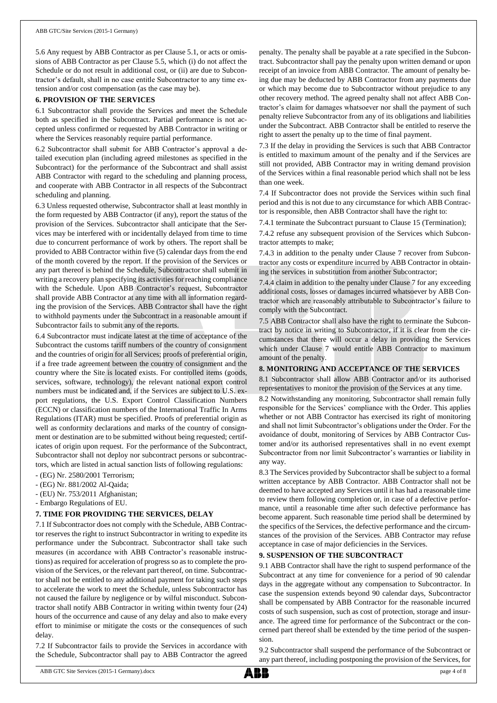5.6 Any request by ABB Contractor as per Clause 5.1, or acts or omissions of ABB Contractor as per Clause 5.5, which (i) do not affect the Schedule or do not result in additional cost, or (ii) are due to Subcontractor's default, shall in no case entitle Subcontractor to any time extension and/or cost compensation (as the case may be).

#### **6. PROVISION OF THE SERVICES**

6.1 Subcontractor shall provide the Services and meet the Schedule both as specified in the Subcontract. Partial performance is not accepted unless confirmed or requested by ABB Contractor in writing or where the Services reasonably require partial performance.

6.2 Subcontractor shall submit for ABB Contractor's approval a detailed execution plan (including agreed milestones as specified in the Subcontract) for the performance of the Subcontract and shall assist ABB Contractor with regard to the scheduling and planning process, and cooperate with ABB Contractor in all respects of the Subcontract scheduling and planning.

6.3 Unless requested otherwise, Subcontractor shall at least monthly in the form requested by ABB Contractor (if any), report the status of the provision of the Services. Subcontractor shall anticipate that the Services may be interfered with or incidentally delayed from time to time due to concurrent performance of work by others. The report shall be provided to ABB Contractor within five (5) calendar days from the end of the month covered by the report. If the provision of the Services or any part thereof is behind the Schedule, Subcontractor shall submit in writing a recovery plan specifying its activities for reaching compliance with the Schedule. Upon ABB Contractor's request, Subcontractor shall provide ABB Contractor at any time with all information regarding the provision of the Services. ABB Contractor shall have the right to withhold payments under the Subcontract in a reasonable amount if Subcontractor fails to submit any of the reports.

6.4 Subcontractor must indicate latest at the time of acceptance of the Subcontract the customs tariff numbers of the country of consignment and the countries of origin for all Services; proofs of preferential origin, if a free trade agreement between the country of consignment and the country where the Site is located exists. For controlled items (goods, services, software, technology), the relevant national export control numbers must be indicated and, if the Services are subject to U.S. export regulations, the U.S. Export Control Classification Numbers (ECCN) or classification numbers of the International Traffic In Arms Regulations (ITAR) must be specified. Proofs of preferential origin as well as conformity declarations and marks of the country of consignment or destination are to be submitted without being requested; certificates of origin upon request. For the performance of the Subcontract, Subcontractor shall not deploy nor subcontract persons or subcontractors, which are listed in actual sanction lists of following regulations:

- (EG) Nr. 2580/2001 Terrorism;
- (EG) Nr. 881/2002 Al-Qaida;
- (EU) Nr. 753/2011 Afghanistan;
- Embargo Regulations of EU.

#### **7. TIME FOR PROVIDING THE SERVICES, DELAY**

7.1 If Subcontractor does not comply with the Schedule, ABB Contractor reserves the right to instruct Subcontractor in writing to expedite its performance under the Subcontract. Subcontractor shall take such measures (in accordance with ABB Contractor's reasonable instructions) as required for acceleration of progress so as to complete the provision of the Services, or the relevant part thereof, on time. Subcontractor shall not be entitled to any additional payment for taking such steps to accelerate the work to meet the Schedule, unless Subcontractor has not caused the failure by negligence or by wilful misconduct. Subcontractor shall notify ABB Contractor in writing within twenty four (24) hours of the occurrence and cause of any delay and also to make every effort to minimise or mitigate the costs or the consequences of such delay.

7.2 If Subcontractor fails to provide the Services in accordance with the Schedule, Subcontractor shall pay to ABB Contractor the agreed penalty. The penalty shall be payable at a rate specified in the Subcontract. Subcontractor shall pay the penalty upon written demand or upon receipt of an invoice from ABB Contractor. The amount of penalty being due may be deducted by ABB Contractor from any payments due or which may become due to Subcontractor without prejudice to any other recovery method. The agreed penalty shall not affect ABB Contractor's claim for damages whatsoever nor shall the payment of such penalty relieve Subcontractor from any of its obligations and liabilities under the Subcontract. ABB Contractor shall be entitled to reserve the right to assert the penalty up to the time of final payment.

7.3 If the delay in providing the Services is such that ABB Contractor is entitled to maximum amount of the penalty and if the Services are still not provided, ABB Contractor may in writing demand provision of the Services within a final reasonable period which shall not be less than one week.

7.4 If Subcontractor does not provide the Services within such final period and this is not due to any circumstance for which ABB Contractor is responsible, then ABB Contractor shall have the right to:

7.4.1 terminate the Subcontract pursuant to Clause 15 (Termination);

7.4.2 refuse any subsequent provision of the Services which Subcontractor attempts to make;

7.4.3 in addition to the penalty under Clause 7 recover from Subcontractor any costs or expenditure incurred by ABB Contractor in obtaining the services in substitution from another Subcontractor;

7.4.4 claim in addition to the penalty under Clause 7 for any exceeding additional costs, losses or damages incurred whatsoever by ABB Contractor which are reasonably attributable to Subcontractor's failure to comply with the Subcontract.

7.5 ABB Contractor shall also have the right to terminate the Subcontract by notice in writing to Subcontractor, if it is clear from the circumstances that there will occur a delay in providing the Services which under Clause 7 would entitle ABB Contractor to maximum amount of the penalty.

#### **8. MONITORING AND ACCEPTANCE OF THE SERVICES**

8.1 Subcontractor shall allow ABB Contractor and/or its authorised representatives to monitor the provision of the Services at any time.

8.2 Notwithstanding any monitoring, Subcontractor shall remain fully responsible for the Services' compliance with the Order. This applies whether or not ABB Contractor has exercised its right of monitoring and shall not limit Subcontractor's obligations under the Order. For the avoidance of doubt, monitoring of Services by ABB Contractor Customer and/or its authorised representatives shall in no event exempt Subcontractor from nor limit Subcontractor's warranties or liability in any way.

8.3 The Services provided by Subcontractor shall be subject to a formal written acceptance by ABB Contractor. ABB Contractor shall not be deemed to have accepted any Services until it has had a reasonable time to review them following completion or, in case of a defective performance, until a reasonable time after such defective performance has become apparent. Such reasonable time period shall be determined by the specifics of the Services, the defective performance and the circumstances of the provision of the Services. ABB Contractor may refuse acceptance in case of major deficiencies in the Services.

#### **9. SUSPENSION OF THE SUBCONTRACT**

9.1 ABB Contractor shall have the right to suspend performance of the Subcontract at any time for convenience for a period of 90 calendar days in the aggregate without any compensation to Subcontractor. In case the suspension extends beyond 90 calendar days, Subcontractor shall be compensated by ABB Contractor for the reasonable incurred costs of such suspension, such as cost of protection, storage and insurance. The agreed time for performance of the Subcontract or the concerned part thereof shall be extended by the time period of the suspension.

9.2 Subcontractor shall suspend the performance of the Subcontract or any part thereof, including postponing the provision of the Services, for

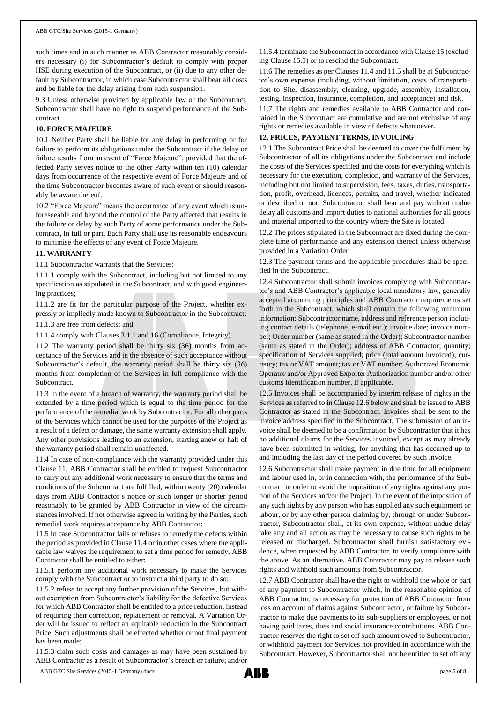such times and in such manner as ABB Contractor reasonably considers necessary (i) for Subcontractor's default to comply with proper HSE during execution of the Subcontract, or (ii) due to any other default by Subcontractor, in which case Subcontractor shall bear all costs and be liable for the delay arising from such suspension.

9.3 Unless otherwise provided by applicable law or the Subcontract, Subcontractor shall have no right to suspend performance of the Subcontract.

#### **10. FORCE MAJEURE**

10.1 Neither Party shall be liable for any delay in performing or for failure to perform its obligations under the Subcontract if the delay or failure results from an event of "Force Majeure", provided that the affected Party serves notice to the other Party within ten (10) calendar days from occurrence of the respective event of Force Majeure and of the time Subcontractor becomes aware of such event or should reasonably be aware thereof.

10.2 "Force Majeure" means the occurrence of any event which is unforeseeable and beyond the control of the Party affected that results in the failure or delay by such Party of some performance under the Subcontract, in full or part. Each Party shall use its reasonable endeavours to minimise the effects of any event of Force Majeure.

#### **11. WARRANTY**

11.1 Subcontractor warrants that the Services:

11.1.1 comply with the Subcontract, including but not limited to any specification as stipulated in the Subcontract, and with good engineering practices;

11.1.2 are fit for the particular purpose of the Project, whether expressly or impliedly made known to Subcontractor in the Subcontract; 11.1.3 are free from defects; and

11.1.4 comply with Clauses 3.1.1 and 16 (Compliance, Integrity).

11.2 The warranty period shall be thirty six (36) months from acceptance of the Services and in the absence of such acceptance without Subcontractor's default, the warranty period shall be thirty six (36) months from completion of the Services in full compliance with the **Subcontract.** 

11.3 In the event of a breach of warranty, the warranty period shall be extended by a time period which is equal to the time period for the performance of the remedial work by Subcontractor. For all other parts of the Services which cannot be used for the purposes of the Project as a result of a defect or damage, the same warranty extension shall apply. Any other provisions leading to an extension, starting anew or halt of the warranty period shall remain unaffected.

11.4 In case of non-compliance with the warranty provided under this Clause 11, ABB Contractor shall be entitled to request Subcontractor to carry out any additional work necessary to ensure that the terms and conditions of the Subcontract are fulfilled, within twenty (20) calendar days from ABB Contractor's notice or such longer or shorter period reasonably to be granted by ABB Contractor in view of the circumstances involved. If not otherwise agreed in writing by the Parties, such remedial work requires acceptance by ABB Contractor;

11.5 In case Subcontractor fails or refuses to remedy the defects within the period as provided in Clause 11.4 or in other cases where the applicable law waives the requirement to set a time period for remedy, ABB Contractor shall be entitled to either:

11.5.1 perform any additional work necessary to make the Services comply with the Subcontract or to instruct a third party to do so;

11.5.2 refuse to accept any further provision of the Services, but without exemption from Subcontractor's liability for the defective Services for which ABB Contractor shall be entitled to a price reduction, instead of requiring their correction, replacement or removal. A Variation Order will be issued to reflect an equitable reduction in the Subcontract Price. Such adjustments shall be effected whether or not final payment has been made;

11.5.3 claim such costs and damages as may have been sustained by ABB Contractor as a result of Subcontractor's breach or failure; and/or

11.5.4 terminate the Subcontract in accordance with Clause 15 (excluding Clause 15.5) or to rescind the Subcontract.

11.6 The remedies as per Clauses 11.4 and 11.5 shall be at Subcontractor's own expense (including, without limitation, costs of transportation to Site, disassembly, cleaning, upgrade, assembly, installation, testing, inspection, insurance, completion, and acceptance) and risk.

11.7 The rights and remedies available to ABB Contractor and contained in the Subcontract are cumulative and are not exclusive of any rights or remedies available in view of defects whatsoever.

#### **12. PRICES, PAYMENT TERMS, INVOICING**

12.1 The Subcontract Price shall be deemed to cover the fulfilment by Subcontractor of all its obligations under the Subcontract and include the costs of the Services specified and the costs for everything which is necessary for the execution, completion, and warranty of the Services, including but not limited to supervision, fees, taxes, duties, transportation, profit, overhead, licences, permits, and travel, whether indicated or described or not. Subcontractor shall bear and pay without undue delay all customs and import duties to national authorities for all goods and material imported to the country where the Site is located.

12.2 The prices stipulated in the Subcontract are fixed during the complete time of performance and any extension thereof unless otherwise provided in a Variation Order.

12.3 The payment terms and the applicable procedures shall be specified in the Subcontract.

12.4 Subcontractor shall submit invoices complying with Subcontractor's and ABB Contractor's applicable local mandatory law, generally accepted accounting principles and ABB Contractor requirements set forth in the Subcontract, which shall contain the following minimum information: Subcontractor name, address and reference person including contact details (telephone, e-mail etc.); invoice date; invoice number; Order number (same as stated in the Order); Subcontractor number (same as stated in the Order); address of ABB Contractor; quantity; specification of Services supplied; price (total amount invoiced); currency; tax or VAT amount; tax or VAT number; Authorized Economic Operator and/or Approved Exporter Authorization number and/or other customs identification number, if applicable.

12.5 Invoices shall be accompanied by interim release of rights in the Services as referred to in Clause 12.6 below and shall be issued to ABB Contractor as stated in the Subcontract. Invoices shall be sent to the invoice address specified in the Subcontract. The submission of an invoice shall be deemed to be a confirmation by Subcontractor that it has no additional claims for the Services invoiced, except as may already have been submitted in writing, for anything that has occurred up to and including the last day of the period covered by such invoice.

12.6 Subcontractor shall make payment in due time for all equipment and labour used in, or in connection with, the performance of the Subcontract in order to avoid the imposition of any rights against any portion of the Services and/or the Project. In the event of the imposition of any such rights by any person who has supplied any such equipment or labour, or by any other person claiming by, through or under Subcontractor, Subcontractor shall, at its own expense, without undue delay take any and all action as may be necessary to cause such rights to be released or discharged. Subcontractor shall furnish satisfactory evidence, when requested by ABB Contractor, to verify compliance with the above. As an alternative, ABB Contractor may pay to release such rights and withhold such amounts from Subcontractor.

12.7 ABB Contractor shall have the right to withhold the whole or part of any payment to Subcontractor which, in the reasonable opinion of ABB Contractor, is necessary for protection of ABB Contractor from loss on account of claims against Subcontractor, or failure by Subcontractor to make due payments to its sub-suppliers or employees, or not having paid taxes, dues and social insurance contributions. ABB Contractor reserves the right to set off such amount owed to Subcontractor, or withhold payment for Services not provided in accordance with the Subcontract. However, Subcontractor shall not be entitled to set off any

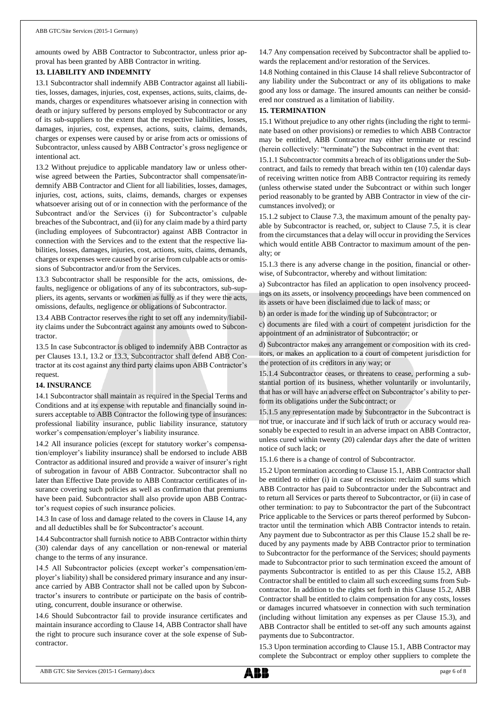amounts owed by ABB Contractor to Subcontractor, unless prior approval has been granted by ABB Contractor in writing.

#### **13. LIABILITY AND INDEMNITY**

13.1 Subcontractor shall indemnify ABB Contractor against all liabilities, losses, damages, injuries, cost, expenses, actions, suits, claims, demands, charges or expenditures whatsoever arising in connection with death or injury suffered by persons employed by Subcontractor or any of its sub-suppliers to the extent that the respective liabilities, losses, damages, injuries, cost, expenses, actions, suits, claims, demands, charges or expenses were caused by or arise from acts or omissions of Subcontractor, unless caused by ABB Contractor's gross negligence or intentional act.

13.2 Without prejudice to applicable mandatory law or unless otherwise agreed between the Parties, Subcontractor shall compensate/indemnify ABB Contractor and Client for all liabilities, losses, damages, injuries, cost, actions, suits, claims, demands, charges or expenses whatsoever arising out of or in connection with the performance of the Subcontract and/or the Services (i) for Subcontractor's culpable breaches of the Subcontract, and (ii) for any claim made by a third party (including employees of Subcontractor) against ABB Contractor in connection with the Services and to the extent that the respective liabilities, losses, damages, injuries, cost, actions, suits, claims, demands, charges or expenses were caused by or arise from culpable acts or omissions of Subcontractor and/or from the Services.

13.3 Subcontractor shall be responsible for the acts, omissions, defaults, negligence or obligations of any of its subcontractors, sub-suppliers, its agents, servants or workmen as fully as if they were the acts, omissions, defaults, negligence or obligations of Subcontractor.

13.4 ABB Contractor reserves the right to set off any indemnity/liability claims under the Subcontract against any amounts owed to Subcontractor.

13.5 In case Subcontractor is obliged to indemnify ABB Contractor as per Clauses 13.1, 13.2 or 13.3, Subcontractor shall defend ABB Contractor at its cost against any third party claims upon ABB Contractor's request.

#### **14. INSURANCE**

14.1 Subcontractor shall maintain as required in the Special Terms and Conditions and at its expense with reputable and financially sound insurers acceptable to ABB Contractor the following type of insurances: professional liability insurance, public liability insurance, statutory worker's compensation/employer's liability insurance.

14.2 All insurance policies (except for statutory worker's compensation/employer's liability insurance) shall be endorsed to include ABB Contractor as additional insured and provide a waiver of insurer's right of subrogation in favour of ABB Contractor. Subcontractor shall no later than Effective Date provide to ABB Contractor certificates of insurance covering such policies as well as confirmation that premiums have been paid. Subcontractor shall also provide upon ABB Contractor's request copies of such insurance policies.

14.3 In case of loss and damage related to the covers in Clause 14, any and all deductibles shall be for Subcontractor's account.

14.4 Subcontractor shall furnish notice to ABB Contractor within thirty (30) calendar days of any cancellation or non-renewal or material change to the terms of any insurance.

14.5 All Subcontractor policies (except worker's compensation/employer's liability) shall be considered primary insurance and any insurance carried by ABB Contractor shall not be called upon by Subcontractor's insurers to contribute or participate on the basis of contributing, concurrent, double insurance or otherwise.

14.6 Should Subcontractor fail to provide insurance certificates and maintain insurance according to Clause 14, ABB Contractor shall have the right to procure such insurance cover at the sole expense of Subcontractor.

14.7 Any compensation received by Subcontractor shall be applied towards the replacement and/or restoration of the Services.

14.8 Nothing contained in this Clause 14 shall relieve Subcontractor of any liability under the Subcontract or any of its obligations to make good any loss or damage. The insured amounts can neither be considered nor construed as a limitation of liability.

#### **15. TERMINATION**

15.1 Without prejudice to any other rights (including the right to terminate based on other provisions) or remedies to which ABB Contractor may be entitled, ABB Contractor may either terminate or rescind (herein collectively: "terminate") the Subcontract in the event that:

15.1.1 Subcontractor commits a breach of its obligations under the Subcontract, and fails to remedy that breach within ten (10) calendar days of receiving written notice from ABB Contractor requiring its remedy (unless otherwise stated under the Subcontract or within such longer period reasonably to be granted by ABB Contractor in view of the circumstances involved); or

15.1.2 subject to Clause 7.3, the maximum amount of the penalty payable by Subcontractor is reached, or, subject to Clause 7.5, it is clear from the circumstances that a delay will occur in providing the Services which would entitle ABB Contractor to maximum amount of the penalty; or

15.1.3 there is any adverse change in the position, financial or otherwise, of Subcontractor, whereby and without limitation:

a) Subcontractor has filed an application to open insolvency proceedings on its assets, or insolvency proceedings have been commenced on its assets or have been disclaimed due to lack of mass; or

b) an order is made for the winding up of Subcontractor; or

c) documents are filed with a court of competent jurisdiction for the appointment of an administrator of Subcontractor; or

d) Subcontractor makes any arrangement or composition with its creditors, or makes an application to a court of competent jurisdiction for the protection of its creditors in any way; or

15.1.4 Subcontractor ceases, or threatens to cease, performing a substantial portion of its business, whether voluntarily or involuntarily, that has or will have an adverse effect on Subcontractor's ability to perform its obligations under the Subcontract; or

15.1.5 any representation made by Subcontractor in the Subcontract is not true, or inaccurate and if such lack of truth or accuracy would reasonably be expected to result in an adverse impact on ABB Contractor, unless cured within twenty (20) calendar days after the date of written notice of such lack; or

15.1.6 there is a change of control of Subcontractor.

15.2 Upon termination according to Clause 15.1, ABB Contractor shall be entitled to either (i) in case of rescission: reclaim all sums which ABB Contractor has paid to Subcontractor under the Subcontract and to return all Services or parts thereof to Subcontractor, or (ii) in case of other termination: to pay to Subcontractor the part of the Subcontract Price applicable to the Services or parts thereof performed by Subcontractor until the termination which ABB Contractor intends to retain. Any payment due to Subcontractor as per this Clause 15.2 shall be reduced by any payments made by ABB Contractor prior to termination to Subcontractor for the performance of the Services; should payments made to Subcontractor prior to such termination exceed the amount of payments Subcontractor is entitled to as per this Clause 15.2, ABB Contractor shall be entitled to claim all such exceeding sums from Subcontractor. In addition to the rights set forth in this Clause 15.2, ABB Contractor shall be entitled to claim compensation for any costs, losses or damages incurred whatsoever in connection with such termination (including without limitation any expenses as per Clause 15.3), and ABB Contractor shall be entitled to set-off any such amounts against payments due to Subcontractor.

15.3 Upon termination according to Clause 15.1, ABB Contractor may complete the Subcontract or employ other suppliers to complete the

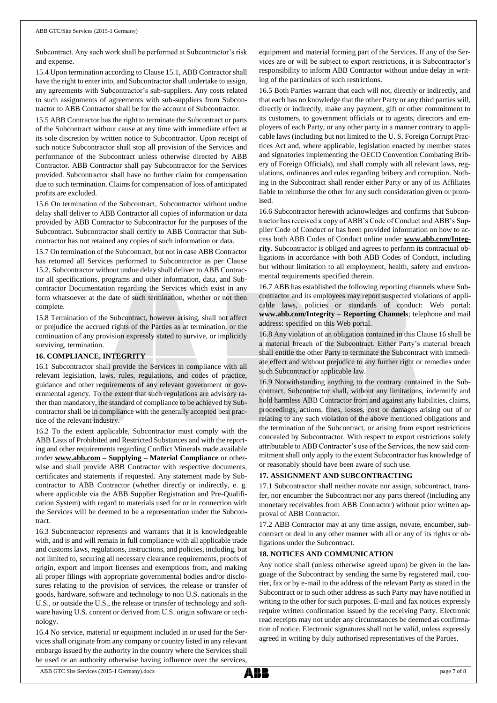Subcontract. Any such work shall be performed at Subcontractor's risk and expense.

15.4 Upon termination according to Clause 15.1, ABB Contractor shall have the right to enter into, and Subcontractor shall undertake to assign, any agreements with Subcontractor's sub-suppliers. Any costs related to such assignments of agreements with sub-suppliers from Subcontractor to ABB Contractor shall be for the account of Subcontractor.

15.5 ABB Contractor has the right to terminate the Subcontract or parts of the Subcontract without cause at any time with immediate effect at its sole discretion by written notice to Subcontractor. Upon receipt of such notice Subcontractor shall stop all provision of the Services and performance of the Subcontract unless otherwise directed by ABB Contractor. ABB Contractor shall pay Subcontractor for the Services provided. Subcontractor shall have no further claim for compensation due to such termination. Claims for compensation of loss of anticipated profits are excluded.

15.6 On termination of the Subcontract, Subcontractor without undue delay shall deliver to ABB Contractor all copies of information or data provided by ABB Contractor to Subcontractor for the purposes of the Subcontract. Subcontractor shall certify to ABB Contractor that Subcontractor has not retained any copies of such information or data.

15.7 On termination of the Subcontract, but not in case ABB Contractor has returned all Services performed to Subcontractor as per Clause 15.2, Subcontractor without undue delay shall deliver to ABB Contractor all specifications, programs and other information, data, and Subcontractor Documentation regarding the Services which exist in any form whatsoever at the date of such termination, whether or not then complete.

15.8 Termination of the Subcontract, however arising, shall not affect or prejudice the accrued rights of the Parties as at termination, or the continuation of any provision expressly stated to survive, or implicitly surviving, termination.

#### **16. COMPLIANCE, INTEGRITY**

16.1 Subcontractor shall provide the Services in compliance with all relevant legislation, laws, rules, regulations, and codes of practice, guidance and other requirements of any relevant government or governmental agency. To the extent that such regulations are advisory rather than mandatory, the standard of compliance to be achieved by Subcontractor shall be in compliance with the generally accepted best practice of the relevant industry.

16.2 To the extent applicable, Subcontractor must comply with the ABB Lists of Prohibited and Restricted Substances and with the reporting and other requirements regarding Conflict Minerals made available under **[www.abb.com](http://www.abb.com/) – Supplying – Material Compliance** or otherwise and shall provide ABB Contractor with respective documents, certificates and statements if requested. Any statement made by Subcontractor to ABB Contractor (whether directly or indirectly, e. g. where applicable via the ABB Supplier Registration and Pre-Qualification System) with regard to materials used for or in connection with the Services will be deemed to be a representation under the Subcontract.

16.3 Subcontractor represents and warrants that it is knowledgeable with, and is and will remain in full compliance with all applicable trade and customs laws, regulations, instructions, and policies, including, but not limited to, securing all necessary clearance requirements, proofs of origin, export and import licenses and exemptions from, and making all proper filings with appropriate governmental bodies and/or disclosures relating to the provision of services, the release or transfer of goods, hardware, software and technology to non U.S. nationals in the U.S., or outside the U.S., the release or transfer of technology and software having U.S. content or derived from U.S. origin software or technology.

16.4 No service, material or equipment included in or used for the Services shall originate from any company or country listed in any relevant embargo issued by the authority in the country where the Services shall be used or an authority otherwise having influence over the services,

equipment and material forming part of the Services. If any of the Services are or will be subject to export restrictions, it is Subcontractor's responsibility to inform ABB Contractor without undue delay in writing of the particulars of such restrictions.

16.5 Both Parties warrant that each will not, directly or indirectly, and that each has no knowledge that the other Party or any third parties will, directly or indirectly, make any payment, gift or other commitment to its customers, to government officials or to agents, directors and employees of each Party, or any other party in a manner contrary to applicable laws (including but not limited to the U. S. Foreign Corrupt Practices Act and, where applicable, legislation enacted by member states and signatories implementing the OECD Convention Combating Bribery of Foreign Officials), and shall comply with all relevant laws, regulations, ordinances and rules regarding bribery and corruption. Nothing in the Subcontract shall render either Party or any of its Affiliates liable to reimburse the other for any such consideration given or promised.

16.6 Subcontractor herewith acknowledges and confirms that Subcontractor has received a copy of ABB's Code of Conduct and ABB's Supplier Code of Conduct or has been provided information on how to access both ABB Codes of Conduct online under **[www.abb.com/Integ](http://www.abb.com/Integrity)[rity](http://www.abb.com/Integrity)**. Subcontractor is obliged and agrees to perform its contractual obligations in accordance with both ABB Codes of Conduct, including but without limitation to all employment, health, safety and environmental requirements specified therein.

16.7 ABB has established the following reporting channels where Subcontractor and its employees may report suspected violations of applicable laws, policies or standards of conduct: Web portal: **[www.abb.com/Integrity](http://www.abb.com/Integrity) – Reporting Channels**; telephone and mail address: specified on this Web portal.

16.8 Any violation of an obligation contained in this Clause 16 shall be a material breach of the Subcontract. Either Party's material breach shall entitle the other Party to terminate the Subcontract with immediate effect and without prejudice to any further right or remedies under such Subcontract or applicable law.

16.9 Notwithstanding anything to the contrary contained in the Subcontract, Subcontractor shall, without any limitations, indemnify and hold harmless ABB Contractor from and against any liabilities, claims, proceedings, actions, fines, losses, cost or damages arising out of or relating to any such violation of the above mentioned obligations and the termination of the Subcontract, or arising from export restrictions concealed by Subcontractor. With respect to export restrictions solely attributable to ABB Contractor's use of the Services, the now said commitment shall only apply to the extent Subcontractor has knowledge of or reasonably should have been aware of such use.

#### **17. ASSIGNMENT AND SUBCONTRACTING**

17.1 Subcontractor shall neither novate nor assign, subcontract, transfer, nor encumber the Subcontract nor any parts thereof (including any monetary receivables from ABB Contractor) without prior written approval of ABB Contractor.

17.2 ABB Contractor may at any time assign, novate, encumber, subcontract or deal in any other manner with all or any of its rights or obligations under the Subcontract.

#### **18. NOTICES AND COMMUNICATION**

Any notice shall (unless otherwise agreed upon) be given in the language of the Subcontract by sending the same by registered mail, courier, fax or by e-mail to the address of the relevant Party as stated in the Subcontract or to such other address as such Party may have notified in writing to the other for such purposes. E-mail and fax notices expressly require written confirmation issued by the receiving Party. Electronic read receipts may not under any circumstances be deemed as confirmation of notice. Electronic signatures shall not be valid, unless expressly agreed in writing by duly authorised representatives of the Parties.